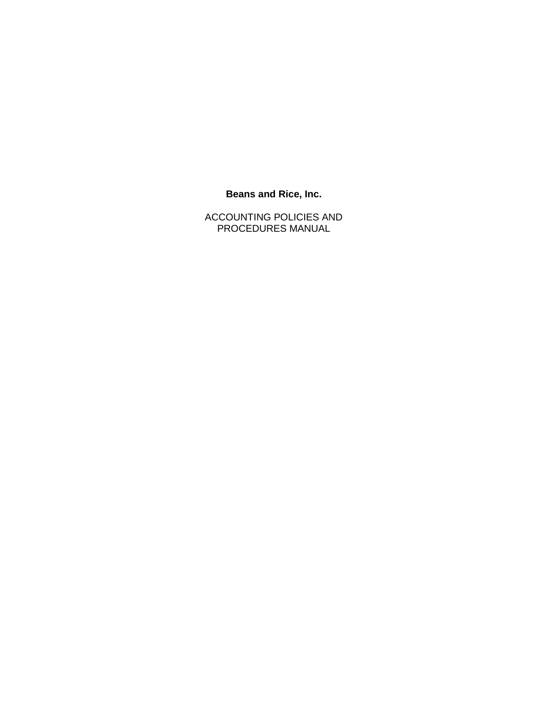# **Beans and Rice, Inc.**

ACCOUNTING POLICIES AND PROCEDURES MANUAL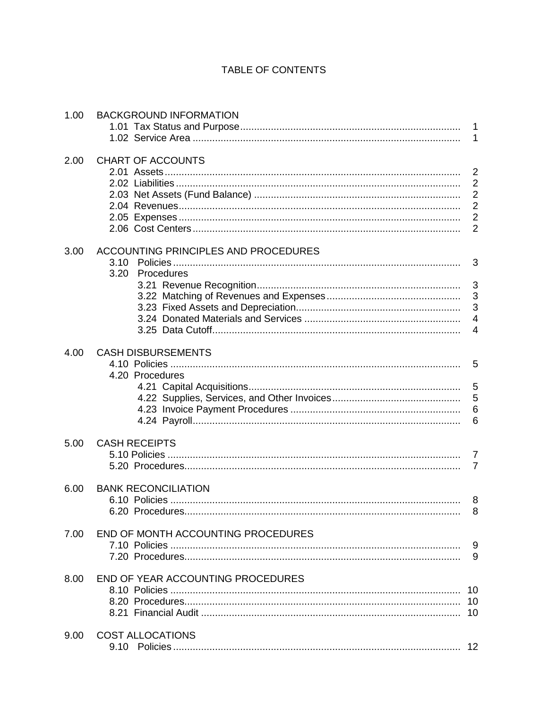# TABLE OF CONTENTS

| 1.00 | <b>BACKGROUND INFORMATION</b>        |                |
|------|--------------------------------------|----------------|
|      |                                      |                |
|      |                                      |                |
| 2.00 | CHART OF ACCOUNTS                    |                |
|      |                                      | $\overline{2}$ |
|      |                                      | $\overline{2}$ |
|      |                                      | $\overline{2}$ |
|      |                                      | $\overline{2}$ |
|      |                                      | $\overline{2}$ |
|      |                                      | $\overline{2}$ |
| 3.00 | ACCOUNTING PRINCIPLES AND PROCEDURES |                |
|      | 3.10                                 | 3              |
|      | 3.20 Procedures                      |                |
|      |                                      |                |
|      |                                      |                |
|      |                                      | $\mathbf{3}$   |
|      |                                      |                |
|      |                                      |                |
| 4.00 | <b>CASH DISBURSEMENTS</b>            |                |
|      |                                      |                |
|      | 4.20 Procedures                      |                |
|      |                                      |                |
|      |                                      |                |
|      |                                      | 6              |
|      |                                      |                |
|      |                                      |                |
| 5.00 | <b>CASH RECEIPTS</b>                 |                |
|      |                                      |                |
|      |                                      | $\overline{7}$ |
| 6.00 | <b>BANK RECONCILIATION</b>           |                |
|      |                                      |                |
|      |                                      | 8              |
|      |                                      |                |
| 7.00 | END OF MONTH ACCOUNTING PROCEDURES   |                |
|      |                                      | 9              |
|      |                                      | 9              |
| 8.00 | END OF YEAR ACCOUNTING PROCEDURES    |                |
|      |                                      |                |
|      |                                      |                |
|      |                                      |                |
| 9.00 | <b>COST ALLOCATIONS</b>              |                |
|      |                                      | 12             |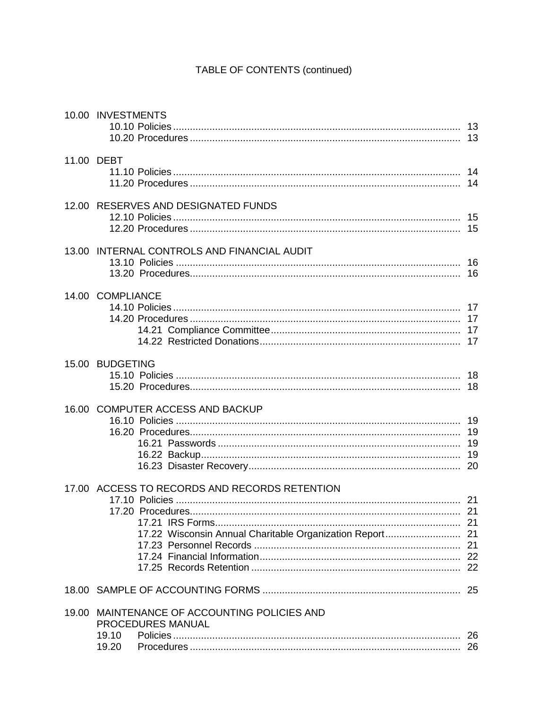# TABLE OF CONTENTS (continued)

|       | 10.00 INVESTMENTS                                                                                         |  |
|-------|-----------------------------------------------------------------------------------------------------------|--|
|       | 11.00 DEBT                                                                                                |  |
|       | 12.00 RESERVES AND DESIGNATED FUNDS                                                                       |  |
|       | 13.00 INTERNAL CONTROLS AND FINANCIAL AUDIT                                                               |  |
|       | 14.00 COMPLIANCE                                                                                          |  |
|       | 15.00 BUDGETING                                                                                           |  |
|       | 16.00 COMPUTER ACCESS AND BACKUP                                                                          |  |
|       | 17.00 ACCESS TO RECORDS AND RECORDS RETENTION<br>17.22 Wisconsin Annual Charitable Organization Report 21 |  |
|       |                                                                                                           |  |
| 19.00 | MAINTENANCE OF ACCOUNTING POLICIES AND<br><b>PROCEDURES MANUAL</b><br>19.10<br>19.20                      |  |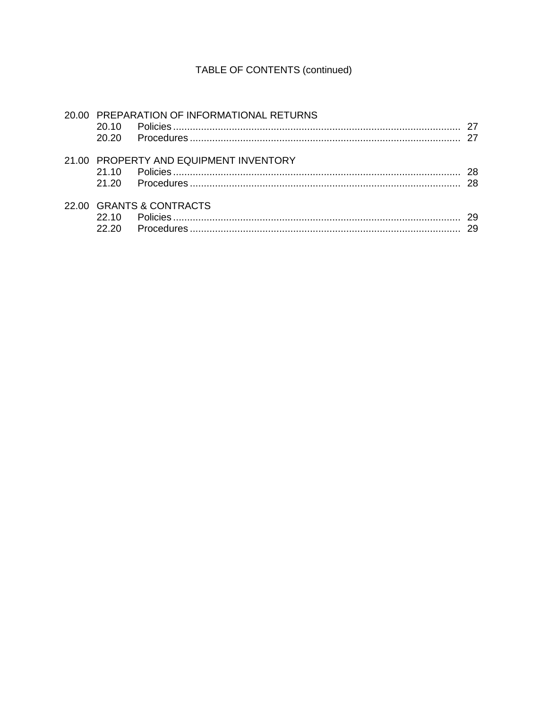# TABLE OF CONTENTS (continued)

| 20.10<br>20.20 | 20.00 PREPARATION OF INFORMATIONAL RETURNS | -27       |
|----------------|--------------------------------------------|-----------|
| 21,10<br>21.20 | 21.00 PROPERTY AND EQUIPMENT INVENTORY     | -28<br>28 |
| 22.10<br>22.20 | 22.00 GRANTS & CONTRACTS                   | 29<br>29  |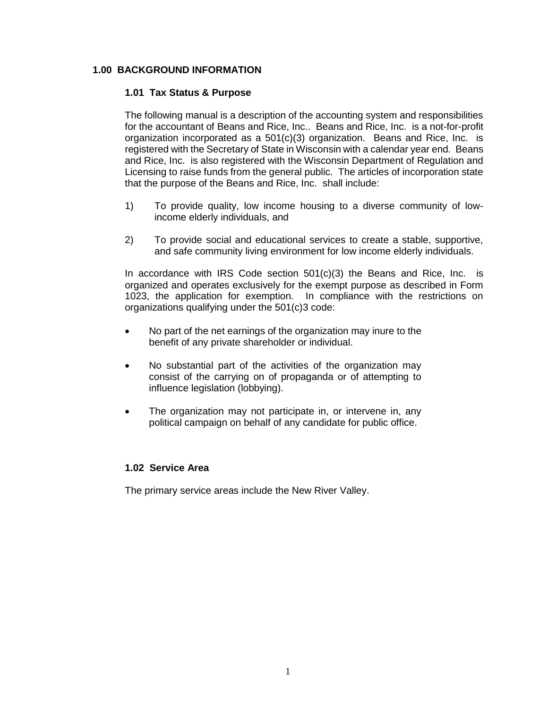# **1.00 BACKGROUND INFORMATION**

#### **1.01 Tax Status & Purpose**

The following manual is a description of the accounting system and responsibilities for the accountant of Beans and Rice, Inc.. Beans and Rice, Inc. is a not-for-profit organization incorporated as a  $501(c)(3)$  organization. Beans and Rice, Inc. is registered with the Secretary of State in Wisconsin with a calendar year end. Beans and Rice, Inc. is also registered with the Wisconsin Department of Regulation and Licensing to raise funds from the general public. The articles of incorporation state that the purpose of the Beans and Rice, Inc. shall include:

- 1) To provide quality, low income housing to a diverse community of lowincome elderly individuals, and
- 2) To provide social and educational services to create a stable, supportive, and safe community living environment for low income elderly individuals.

In accordance with IRS Code section  $501(c)(3)$  the Beans and Rice, Inc. is organized and operates exclusively for the exempt purpose as described in Form 1023, the application for exemption. In compliance with the restrictions on organizations qualifying under the 501(c)3 code:

- No part of the net earnings of the organization may inure to the benefit of any private shareholder or individual.
- No substantial part of the activities of the organization may consist of the carrying on of propaganda or of attempting to influence legislation (lobbying).
- The organization may not participate in, or intervene in, any political campaign on behalf of any candidate for public office.

#### **1.02 Service Area**

The primary service areas include the New River Valley.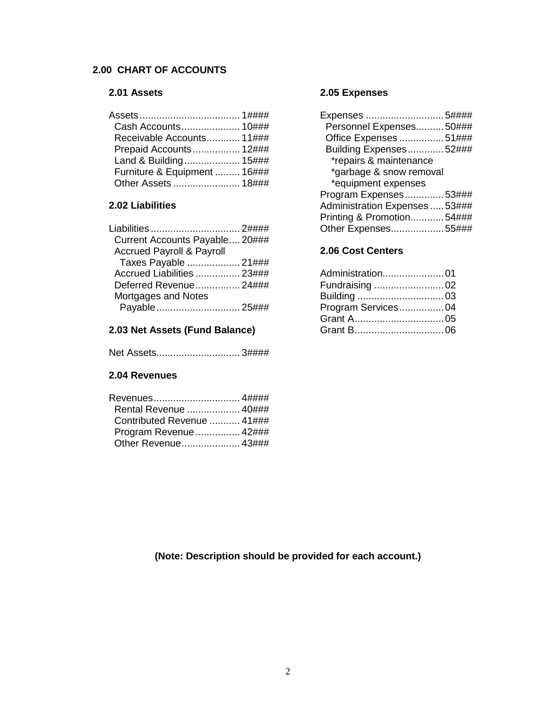# **2.00 CHART OF ACCOUNTS**

# **2.01 Assets**

| Receivable Accounts 11###    |  |
|------------------------------|--|
| Prepaid Accounts 12###       |  |
| Land & Building 15###        |  |
| Furniture & Equipment  16### |  |
|                              |  |

# **2.02 Liabilities**

| Liabilities  2####                   |  |
|--------------------------------------|--|
| Current Accounts Payable 20###       |  |
| <b>Accrued Payroll &amp; Payroll</b> |  |
| Taxes Payable  21###                 |  |
| Accrued Liabilities  23###           |  |
| Deferred Revenue 24###               |  |
| Mortgages and Notes                  |  |
| Payable 25###                        |  |
|                                      |  |

# **2.03 Net Assets (Fund Balance)**

| Net Assets3#### |  |
|-----------------|--|
|-----------------|--|

# **2.04 Revenues**

| Rental Revenue  40###      |  |
|----------------------------|--|
| Contributed Revenue  41### |  |
| Program Revenue  42###     |  |
| Other Revenue 43###        |  |

# **2.05 Expenses**

| Expenses 5####                 |  |
|--------------------------------|--|
| Personnel Expenses50###        |  |
| Office Expenses 51###          |  |
| Building Expenses52###         |  |
| *repairs & maintenance         |  |
| *garbage & snow removal        |  |
| *equipment expenses            |  |
| Program Expenses53###          |  |
| Administration Expenses  53### |  |
| Printing & Promotion54###      |  |
| Other Expenses55###            |  |
|                                |  |

# **2.06 Cost Centers**

| Administration01   |  |
|--------------------|--|
| Fundraising 02     |  |
|                    |  |
| Program Services04 |  |
|                    |  |
|                    |  |
|                    |  |

**(Note: Description should be provided for each account.)**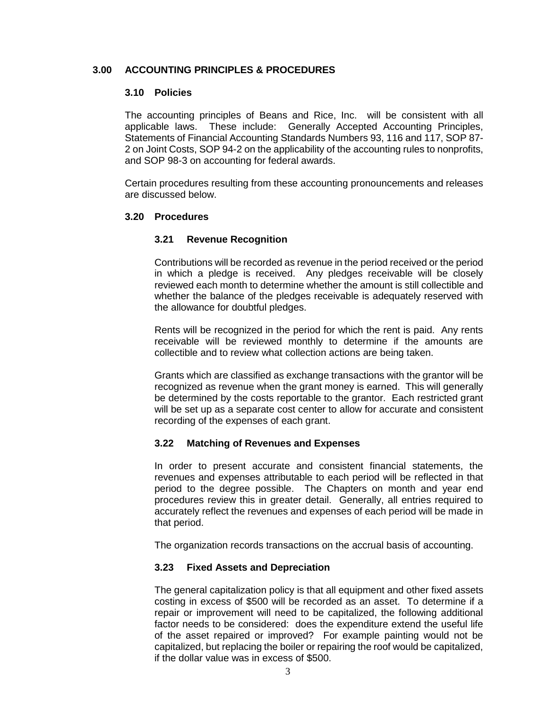# **3.00 ACCOUNTING PRINCIPLES & PROCEDURES**

#### **3.10 Policies**

The accounting principles of Beans and Rice, Inc. will be consistent with all applicable laws. These include: Generally Accepted Accounting Principles, Statements of Financial Accounting Standards Numbers 93, 116 and 117, SOP 87- 2 on Joint Costs, SOP 94-2 on the applicability of the accounting rules to nonprofits, and SOP 98-3 on accounting for federal awards.

Certain procedures resulting from these accounting pronouncements and releases are discussed below.

#### **3.20 Procedures**

### **3.21 Revenue Recognition**

Contributions will be recorded as revenue in the period received or the period in which a pledge is received. Any pledges receivable will be closely reviewed each month to determine whether the amount is still collectible and whether the balance of the pledges receivable is adequately reserved with the allowance for doubtful pledges.

Rents will be recognized in the period for which the rent is paid. Any rents receivable will be reviewed monthly to determine if the amounts are collectible and to review what collection actions are being taken.

Grants which are classified as exchange transactions with the grantor will be recognized as revenue when the grant money is earned. This will generally be determined by the costs reportable to the grantor. Each restricted grant will be set up as a separate cost center to allow for accurate and consistent recording of the expenses of each grant.

#### **3.22 Matching of Revenues and Expenses**

In order to present accurate and consistent financial statements, the revenues and expenses attributable to each period will be reflected in that period to the degree possible. The Chapters on month and year end procedures review this in greater detail. Generally, all entries required to accurately reflect the revenues and expenses of each period will be made in that period.

The organization records transactions on the accrual basis of accounting.

#### **3.23 Fixed Assets and Depreciation**

The general capitalization policy is that all equipment and other fixed assets costing in excess of \$500 will be recorded as an asset. To determine if a repair or improvement will need to be capitalized, the following additional factor needs to be considered: does the expenditure extend the useful life of the asset repaired or improved? For example painting would not be capitalized, but replacing the boiler or repairing the roof would be capitalized, if the dollar value was in excess of \$500.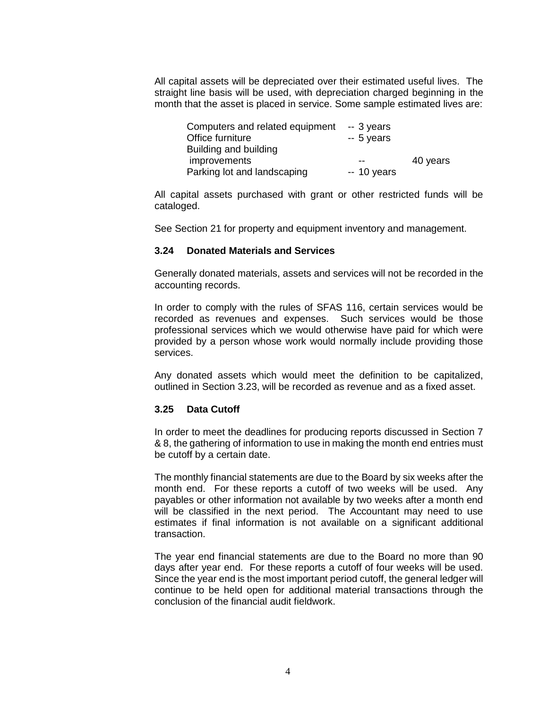All capital assets will be depreciated over their estimated useful lives. The straight line basis will be used, with depreciation charged beginning in the month that the asset is placed in service. Some sample estimated lives are:

| Computers and related equipment | -- 3 years  |          |
|---------------------------------|-------------|----------|
| Office furniture                | $-5$ years  |          |
| Building and building           |             |          |
| improvements                    |             | 40 years |
| Parking lot and landscaping     | $-10$ years |          |

All capital assets purchased with grant or other restricted funds will be cataloged.

See Section 21 for property and equipment inventory and management.

#### **3.24 Donated Materials and Services**

Generally donated materials, assets and services will not be recorded in the accounting records.

In order to comply with the rules of SFAS 116, certain services would be recorded as revenues and expenses. Such services would be those professional services which we would otherwise have paid for which were provided by a person whose work would normally include providing those services.

Any donated assets which would meet the definition to be capitalized, outlined in Section 3.23, will be recorded as revenue and as a fixed asset.

#### **3.25 Data Cutoff**

In order to meet the deadlines for producing reports discussed in Section 7 & 8, the gathering of information to use in making the month end entries must be cutoff by a certain date.

The monthly financial statements are due to the Board by six weeks after the month end. For these reports a cutoff of two weeks will be used. Any payables or other information not available by two weeks after a month end will be classified in the next period. The Accountant may need to use estimates if final information is not available on a significant additional transaction.

The year end financial statements are due to the Board no more than 90 days after year end. For these reports a cutoff of four weeks will be used. Since the year end is the most important period cutoff, the general ledger will continue to be held open for additional material transactions through the conclusion of the financial audit fieldwork.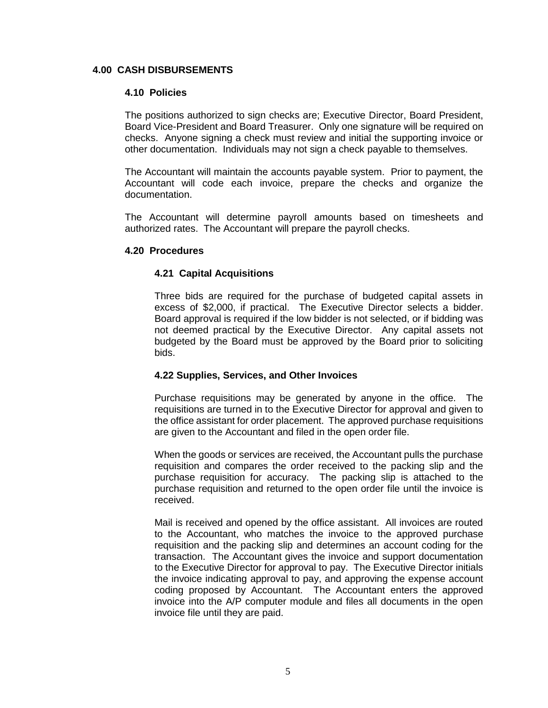#### **4.00 CASH DISBURSEMENTS**

#### **4.10 Policies**

The positions authorized to sign checks are; Executive Director, Board President, Board Vice-President and Board Treasurer. Only one signature will be required on checks. Anyone signing a check must review and initial the supporting invoice or other documentation. Individuals may not sign a check payable to themselves.

The Accountant will maintain the accounts payable system. Prior to payment, the Accountant will code each invoice, prepare the checks and organize the documentation.

The Accountant will determine payroll amounts based on timesheets and authorized rates. The Accountant will prepare the payroll checks.

#### **4.20 Procedures**

### **4.21 Capital Acquisitions**

Three bids are required for the purchase of budgeted capital assets in excess of \$2,000, if practical. The Executive Director selects a bidder. Board approval is required if the low bidder is not selected, or if bidding was not deemed practical by the Executive Director. Any capital assets not budgeted by the Board must be approved by the Board prior to soliciting bids.

#### **4.22 Supplies, Services, and Other Invoices**

Purchase requisitions may be generated by anyone in the office. The requisitions are turned in to the Executive Director for approval and given to the office assistant for order placement. The approved purchase requisitions are given to the Accountant and filed in the open order file.

When the goods or services are received, the Accountant pulls the purchase requisition and compares the order received to the packing slip and the purchase requisition for accuracy. The packing slip is attached to the purchase requisition and returned to the open order file until the invoice is received.

Mail is received and opened by the office assistant. All invoices are routed to the Accountant, who matches the invoice to the approved purchase requisition and the packing slip and determines an account coding for the transaction. The Accountant gives the invoice and support documentation to the Executive Director for approval to pay. The Executive Director initials the invoice indicating approval to pay, and approving the expense account coding proposed by Accountant. The Accountant enters the approved invoice into the A/P computer module and files all documents in the open invoice file until they are paid.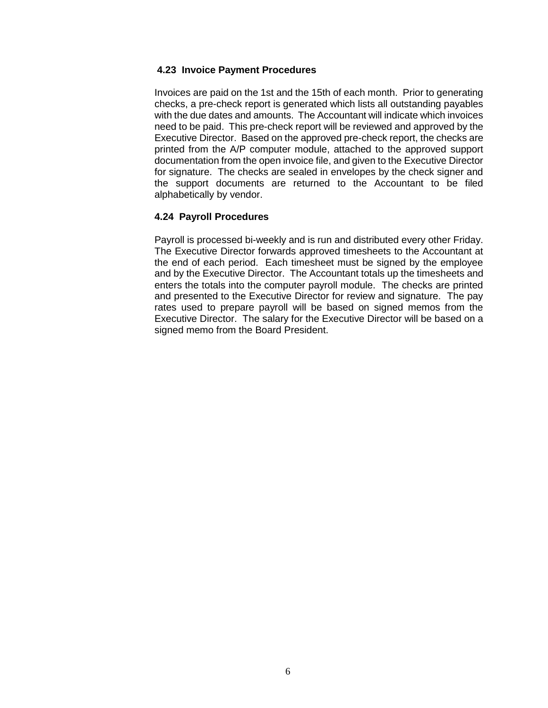### **4.23 Invoice Payment Procedures**

Invoices are paid on the 1st and the 15th of each month. Prior to generating checks, a pre-check report is generated which lists all outstanding payables with the due dates and amounts. The Accountant will indicate which invoices need to be paid. This pre-check report will be reviewed and approved by the Executive Director. Based on the approved pre-check report, the checks are printed from the A/P computer module, attached to the approved support documentation from the open invoice file, and given to the Executive Director for signature. The checks are sealed in envelopes by the check signer and the support documents are returned to the Accountant to be filed alphabetically by vendor.

# **4.24 Payroll Procedures**

Payroll is processed bi-weekly and is run and distributed every other Friday. The Executive Director forwards approved timesheets to the Accountant at the end of each period. Each timesheet must be signed by the employee and by the Executive Director. The Accountant totals up the timesheets and enters the totals into the computer payroll module. The checks are printed and presented to the Executive Director for review and signature. The pay rates used to prepare payroll will be based on signed memos from the Executive Director. The salary for the Executive Director will be based on a signed memo from the Board President.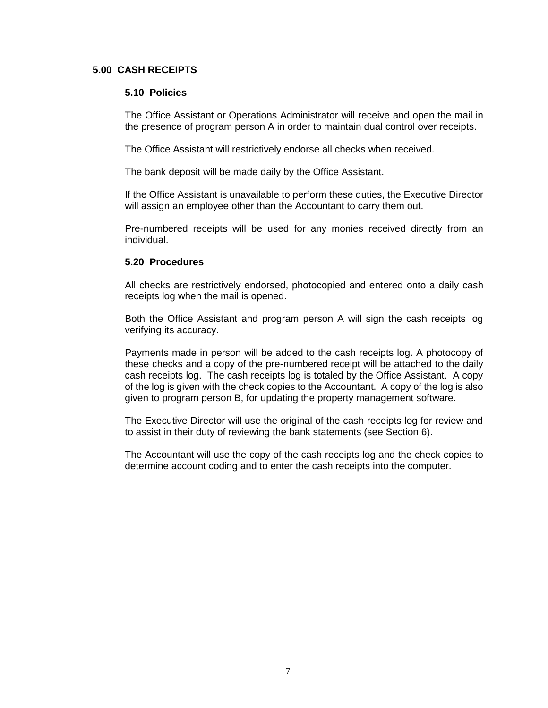#### **5.00 CASH RECEIPTS**

#### **5.10 Policies**

The Office Assistant or Operations Administrator will receive and open the mail in the presence of program person A in order to maintain dual control over receipts.

The Office Assistant will restrictively endorse all checks when received.

The bank deposit will be made daily by the Office Assistant.

If the Office Assistant is unavailable to perform these duties, the Executive Director will assign an employee other than the Accountant to carry them out.

Pre-numbered receipts will be used for any monies received directly from an individual.

### **5.20 Procedures**

All checks are restrictively endorsed, photocopied and entered onto a daily cash receipts log when the mail is opened.

Both the Office Assistant and program person A will sign the cash receipts log verifying its accuracy.

Payments made in person will be added to the cash receipts log. A photocopy of these checks and a copy of the pre-numbered receipt will be attached to the daily cash receipts log. The cash receipts log is totaled by the Office Assistant. A copy of the log is given with the check copies to the Accountant. A copy of the log is also given to program person B, for updating the property management software.

The Executive Director will use the original of the cash receipts log for review and to assist in their duty of reviewing the bank statements (see Section 6).

The Accountant will use the copy of the cash receipts log and the check copies to determine account coding and to enter the cash receipts into the computer.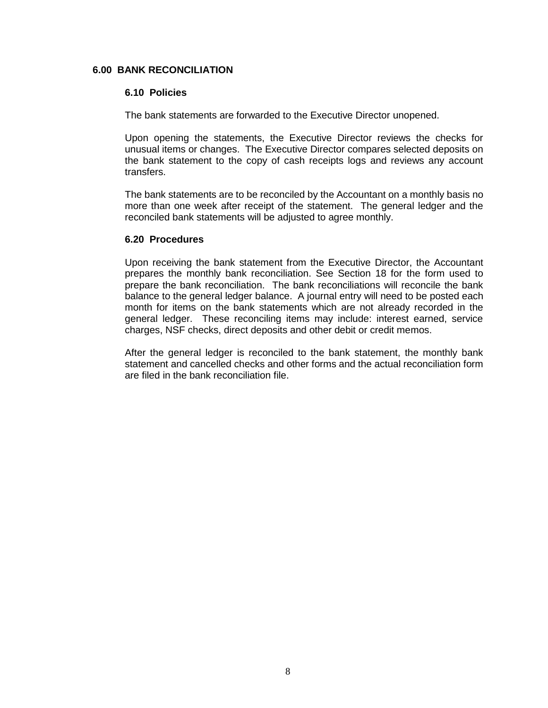#### **6.00 BANK RECONCILIATION**

#### **6.10 Policies**

The bank statements are forwarded to the Executive Director unopened.

Upon opening the statements, the Executive Director reviews the checks for unusual items or changes. The Executive Director compares selected deposits on the bank statement to the copy of cash receipts logs and reviews any account transfers.

The bank statements are to be reconciled by the Accountant on a monthly basis no more than one week after receipt of the statement. The general ledger and the reconciled bank statements will be adjusted to agree monthly.

#### **6.20 Procedures**

Upon receiving the bank statement from the Executive Director, the Accountant prepares the monthly bank reconciliation. See Section 18 for the form used to prepare the bank reconciliation. The bank reconciliations will reconcile the bank balance to the general ledger balance. A journal entry will need to be posted each month for items on the bank statements which are not already recorded in the general ledger. These reconciling items may include: interest earned, service charges, NSF checks, direct deposits and other debit or credit memos.

After the general ledger is reconciled to the bank statement, the monthly bank statement and cancelled checks and other forms and the actual reconciliation form are filed in the bank reconciliation file.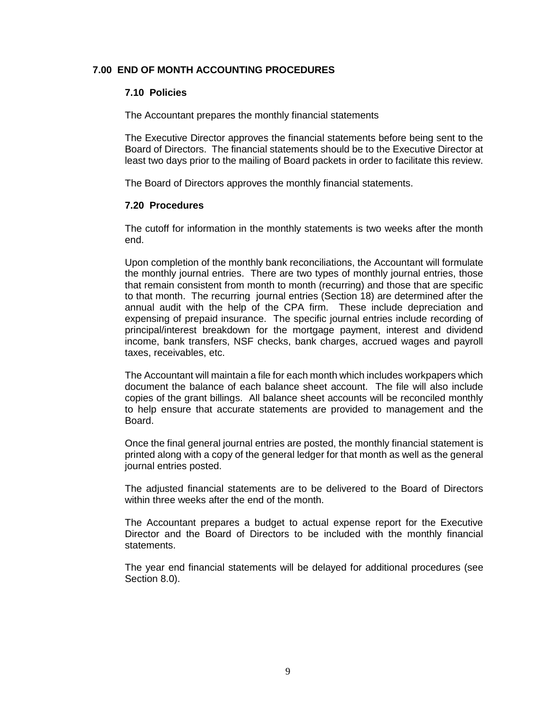# **7.00 END OF MONTH ACCOUNTING PROCEDURES**

#### **7.10 Policies**

The Accountant prepares the monthly financial statements

The Executive Director approves the financial statements before being sent to the Board of Directors. The financial statements should be to the Executive Director at least two days prior to the mailing of Board packets in order to facilitate this review.

The Board of Directors approves the monthly financial statements.

#### **7.20 Procedures**

The cutoff for information in the monthly statements is two weeks after the month end.

Upon completion of the monthly bank reconciliations, the Accountant will formulate the monthly journal entries. There are two types of monthly journal entries, those that remain consistent from month to month (recurring) and those that are specific to that month. The recurring journal entries (Section 18) are determined after the annual audit with the help of the CPA firm. These include depreciation and expensing of prepaid insurance. The specific journal entries include recording of principal/interest breakdown for the mortgage payment, interest and dividend income, bank transfers, NSF checks, bank charges, accrued wages and payroll taxes, receivables, etc.

The Accountant will maintain a file for each month which includes workpapers which document the balance of each balance sheet account. The file will also include copies of the grant billings. All balance sheet accounts will be reconciled monthly to help ensure that accurate statements are provided to management and the Board.

Once the final general journal entries are posted, the monthly financial statement is printed along with a copy of the general ledger for that month as well as the general journal entries posted.

The adjusted financial statements are to be delivered to the Board of Directors within three weeks after the end of the month.

The Accountant prepares a budget to actual expense report for the Executive Director and the Board of Directors to be included with the monthly financial statements.

The year end financial statements will be delayed for additional procedures (see Section 8.0).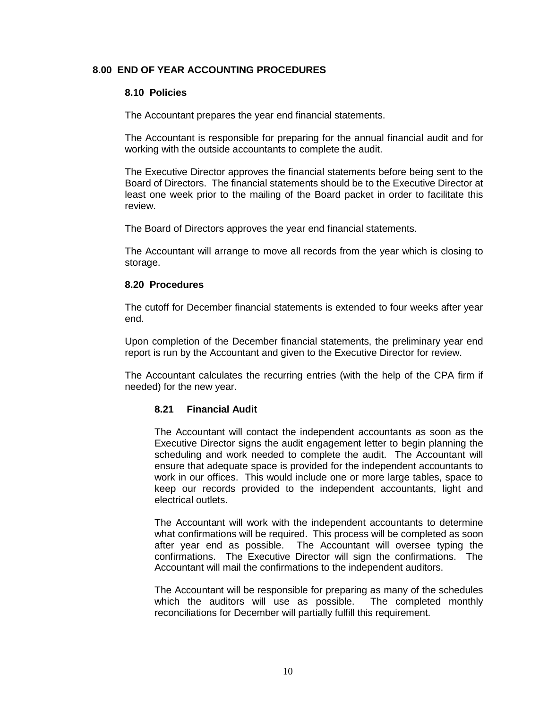### **8.00 END OF YEAR ACCOUNTING PROCEDURES**

#### **8.10 Policies**

The Accountant prepares the year end financial statements.

The Accountant is responsible for preparing for the annual financial audit and for working with the outside accountants to complete the audit.

The Executive Director approves the financial statements before being sent to the Board of Directors. The financial statements should be to the Executive Director at least one week prior to the mailing of the Board packet in order to facilitate this review.

The Board of Directors approves the year end financial statements.

The Accountant will arrange to move all records from the year which is closing to storage.

#### **8.20 Procedures**

The cutoff for December financial statements is extended to four weeks after year end.

Upon completion of the December financial statements, the preliminary year end report is run by the Accountant and given to the Executive Director for review.

The Accountant calculates the recurring entries (with the help of the CPA firm if needed) for the new year.

#### **8.21 Financial Audit**

The Accountant will contact the independent accountants as soon as the Executive Director signs the audit engagement letter to begin planning the scheduling and work needed to complete the audit. The Accountant will ensure that adequate space is provided for the independent accountants to work in our offices. This would include one or more large tables, space to keep our records provided to the independent accountants, light and electrical outlets.

The Accountant will work with the independent accountants to determine what confirmations will be required. This process will be completed as soon after year end as possible. The Accountant will oversee typing the confirmations. The Executive Director will sign the confirmations. The Accountant will mail the confirmations to the independent auditors.

The Accountant will be responsible for preparing as many of the schedules which the auditors will use as possible. The completed monthly reconciliations for December will partially fulfill this requirement.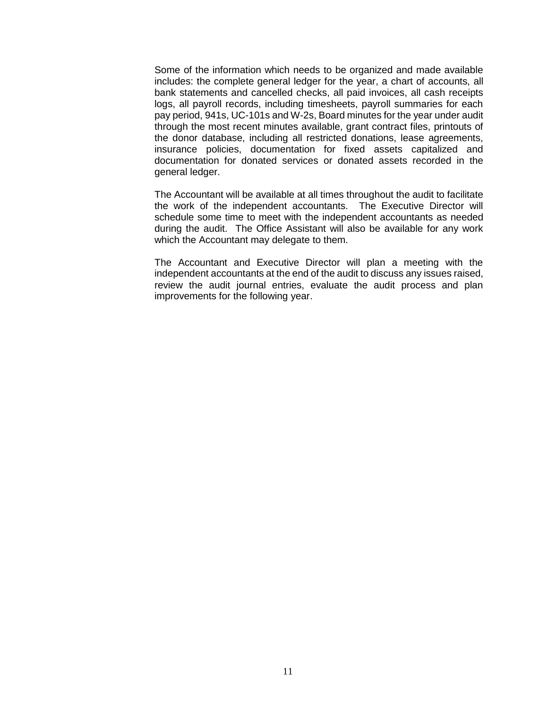Some of the information which needs to be organized and made available includes: the complete general ledger for the year, a chart of accounts, all bank statements and cancelled checks, all paid invoices, all cash receipts logs, all payroll records, including timesheets, payroll summaries for each pay period, 941s, UC-101s and W-2s, Board minutes for the year under audit through the most recent minutes available, grant contract files, printouts of the donor database, including all restricted donations, lease agreements, insurance policies, documentation for fixed assets capitalized and documentation for donated services or donated assets recorded in the general ledger.

The Accountant will be available at all times throughout the audit to facilitate the work of the independent accountants. The Executive Director will schedule some time to meet with the independent accountants as needed during the audit. The Office Assistant will also be available for any work which the Accountant may delegate to them.

The Accountant and Executive Director will plan a meeting with the independent accountants at the end of the audit to discuss any issues raised, review the audit journal entries, evaluate the audit process and plan improvements for the following year.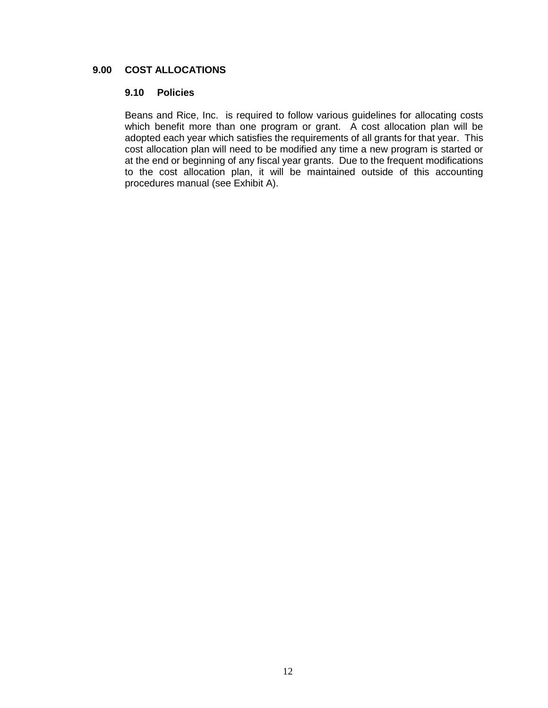### **9.00 COST ALLOCATIONS**

#### **9.10 Policies**

Beans and Rice, Inc. is required to follow various guidelines for allocating costs which benefit more than one program or grant. A cost allocation plan will be adopted each year which satisfies the requirements of all grants for that year. This cost allocation plan will need to be modified any time a new program is started or at the end or beginning of any fiscal year grants. Due to the frequent modifications to the cost allocation plan, it will be maintained outside of this accounting procedures manual (see Exhibit A).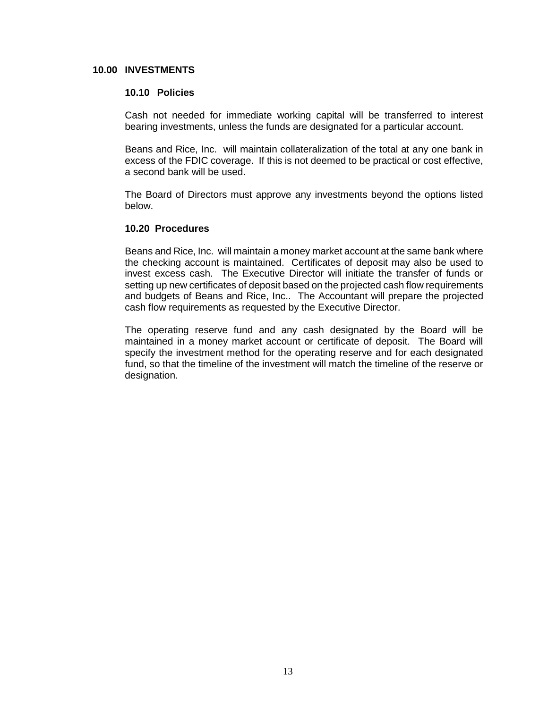#### **10.00 INVESTMENTS**

#### **10.10 Policies**

Cash not needed for immediate working capital will be transferred to interest bearing investments, unless the funds are designated for a particular account.

Beans and Rice, Inc. will maintain collateralization of the total at any one bank in excess of the FDIC coverage. If this is not deemed to be practical or cost effective, a second bank will be used.

The Board of Directors must approve any investments beyond the options listed below.

#### **10.20 Procedures**

Beans and Rice, Inc. will maintain a money market account at the same bank where the checking account is maintained. Certificates of deposit may also be used to invest excess cash. The Executive Director will initiate the transfer of funds or setting up new certificates of deposit based on the projected cash flow requirements and budgets of Beans and Rice, Inc.. The Accountant will prepare the projected cash flow requirements as requested by the Executive Director.

The operating reserve fund and any cash designated by the Board will be maintained in a money market account or certificate of deposit. The Board will specify the investment method for the operating reserve and for each designated fund, so that the timeline of the investment will match the timeline of the reserve or designation.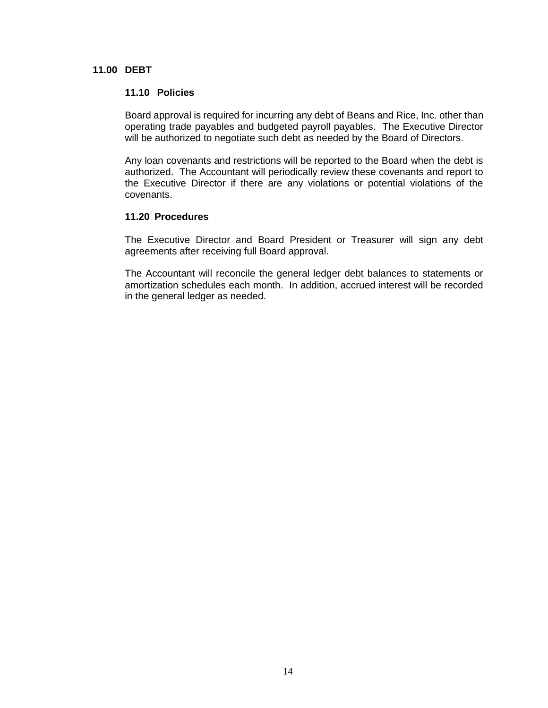#### **11.00 DEBT**

#### **11.10 Policies**

Board approval is required for incurring any debt of Beans and Rice, Inc. other than operating trade payables and budgeted payroll payables. The Executive Director will be authorized to negotiate such debt as needed by the Board of Directors.

Any loan covenants and restrictions will be reported to the Board when the debt is authorized. The Accountant will periodically review these covenants and report to the Executive Director if there are any violations or potential violations of the covenants.

#### **11.20 Procedures**

The Executive Director and Board President or Treasurer will sign any debt agreements after receiving full Board approval.

The Accountant will reconcile the general ledger debt balances to statements or amortization schedules each month. In addition, accrued interest will be recorded in the general ledger as needed.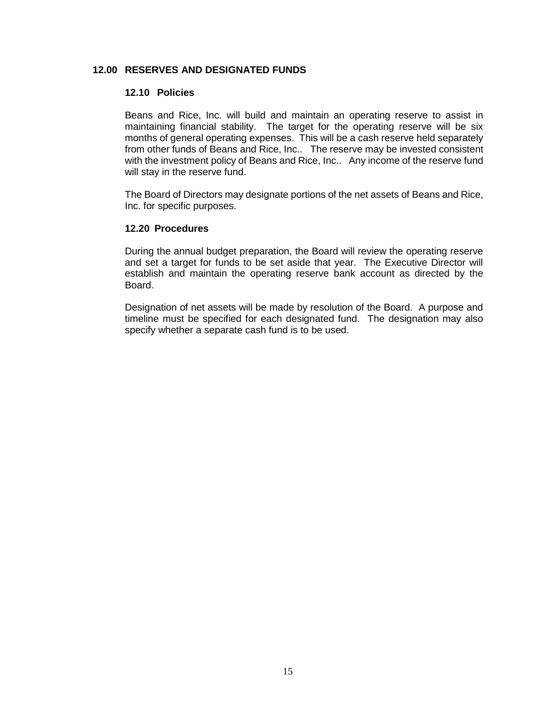#### **12.00 RESERVES AND DESIGNATED FUNDS**

#### **12.10 Policies**

Beans and Rice, Inc. will build and maintain an operating reserve to assist in maintaining financial stability. The target for the operating reserve will be six months of general operating expenses. This will be a cash reserve held separately from other funds of Beans and Rice, Inc.. The reserve may be invested consistent with the investment policy of Beans and Rice, Inc.. Any income of the reserve fund will stay in the reserve fund.

The Board of Directors may designate portions of the net assets of Beans and Rice, Inc. for specific purposes.

#### **12.20 Procedures**

During the annual budget preparation, the Board will review the operating reserve and set a target for funds to be set aside that year. The Executive Director will establish and maintain the operating reserve bank account as directed by the Board.

Designation of net assets will be made by resolution of the Board. A purpose and timeline must be specified for each designated fund. The designation may also specify whether a separate cash fund is to be used.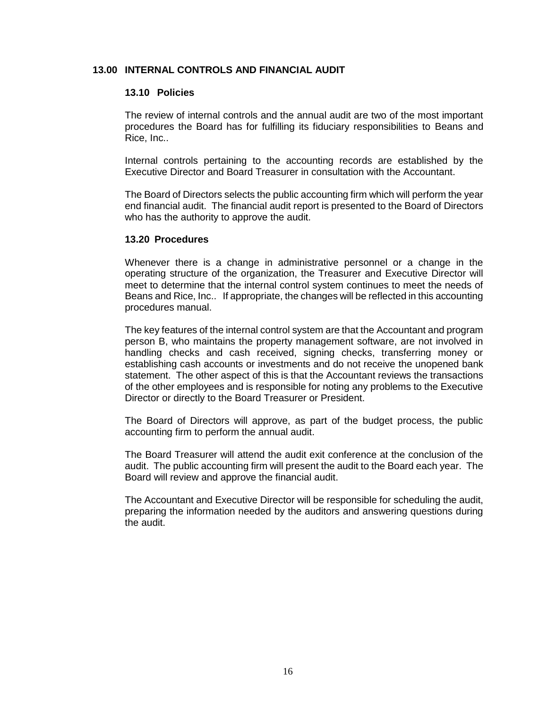#### **13.00 INTERNAL CONTROLS AND FINANCIAL AUDIT**

#### **13.10 Policies**

The review of internal controls and the annual audit are two of the most important procedures the Board has for fulfilling its fiduciary responsibilities to Beans and Rice, Inc..

Internal controls pertaining to the accounting records are established by the Executive Director and Board Treasurer in consultation with the Accountant.

The Board of Directors selects the public accounting firm which will perform the year end financial audit. The financial audit report is presented to the Board of Directors who has the authority to approve the audit.

#### **13.20 Procedures**

Whenever there is a change in administrative personnel or a change in the operating structure of the organization, the Treasurer and Executive Director will meet to determine that the internal control system continues to meet the needs of Beans and Rice, Inc.. If appropriate, the changes will be reflected in this accounting procedures manual.

The key features of the internal control system are that the Accountant and program person B, who maintains the property management software, are not involved in handling checks and cash received, signing checks, transferring money or establishing cash accounts or investments and do not receive the unopened bank statement. The other aspect of this is that the Accountant reviews the transactions of the other employees and is responsible for noting any problems to the Executive Director or directly to the Board Treasurer or President.

The Board of Directors will approve, as part of the budget process, the public accounting firm to perform the annual audit.

The Board Treasurer will attend the audit exit conference at the conclusion of the audit. The public accounting firm will present the audit to the Board each year. The Board will review and approve the financial audit.

The Accountant and Executive Director will be responsible for scheduling the audit, preparing the information needed by the auditors and answering questions during the audit.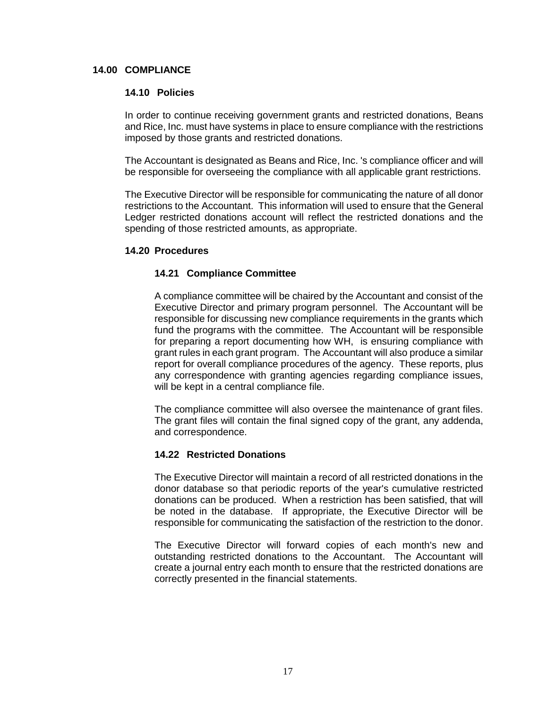#### **14.00 COMPLIANCE**

#### **14.10 Policies**

In order to continue receiving government grants and restricted donations, Beans and Rice, Inc. must have systems in place to ensure compliance with the restrictions imposed by those grants and restricted donations.

The Accountant is designated as Beans and Rice, Inc. 's compliance officer and will be responsible for overseeing the compliance with all applicable grant restrictions.

The Executive Director will be responsible for communicating the nature of all donor restrictions to the Accountant. This information will used to ensure that the General Ledger restricted donations account will reflect the restricted donations and the spending of those restricted amounts, as appropriate.

#### **14.20 Procedures**

#### **14.21 Compliance Committee**

A compliance committee will be chaired by the Accountant and consist of the Executive Director and primary program personnel. The Accountant will be responsible for discussing new compliance requirements in the grants which fund the programs with the committee. The Accountant will be responsible for preparing a report documenting how WH, is ensuring compliance with grant rules in each grant program. The Accountant will also produce a similar report for overall compliance procedures of the agency. These reports, plus any correspondence with granting agencies regarding compliance issues, will be kept in a central compliance file.

The compliance committee will also oversee the maintenance of grant files. The grant files will contain the final signed copy of the grant, any addenda, and correspondence.

#### **14.22 Restricted Donations**

The Executive Director will maintain a record of all restricted donations in the donor database so that periodic reports of the year's cumulative restricted donations can be produced. When a restriction has been satisfied, that will be noted in the database. If appropriate, the Executive Director will be responsible for communicating the satisfaction of the restriction to the donor.

The Executive Director will forward copies of each month's new and outstanding restricted donations to the Accountant. The Accountant will create a journal entry each month to ensure that the restricted donations are correctly presented in the financial statements.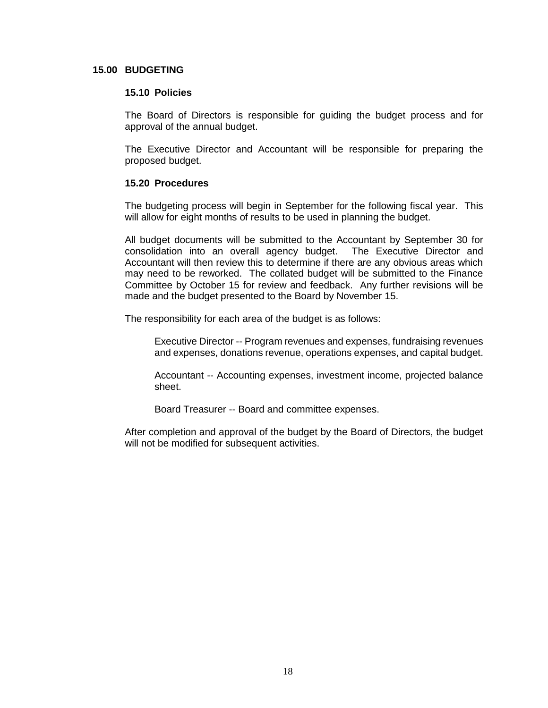#### **15.00 BUDGETING**

#### **15.10 Policies**

The Board of Directors is responsible for guiding the budget process and for approval of the annual budget.

The Executive Director and Accountant will be responsible for preparing the proposed budget.

#### **15.20 Procedures**

The budgeting process will begin in September for the following fiscal year. This will allow for eight months of results to be used in planning the budget.

All budget documents will be submitted to the Accountant by September 30 for consolidation into an overall agency budget. The Executive Director and Accountant will then review this to determine if there are any obvious areas which may need to be reworked. The collated budget will be submitted to the Finance Committee by October 15 for review and feedback. Any further revisions will be made and the budget presented to the Board by November 15.

The responsibility for each area of the budget is as follows:

Executive Director -- Program revenues and expenses, fundraising revenues and expenses, donations revenue, operations expenses, and capital budget.

Accountant -- Accounting expenses, investment income, projected balance sheet.

Board Treasurer -- Board and committee expenses.

After completion and approval of the budget by the Board of Directors, the budget will not be modified for subsequent activities.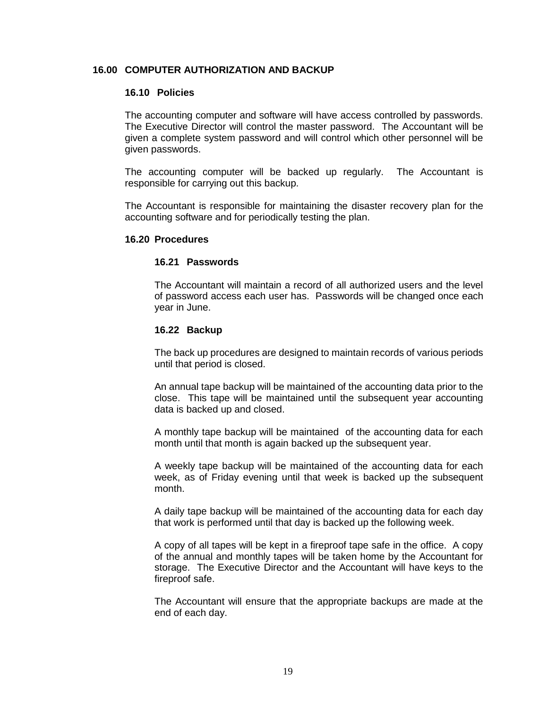#### **16.00 COMPUTER AUTHORIZATION AND BACKUP**

#### **16.10 Policies**

The accounting computer and software will have access controlled by passwords. The Executive Director will control the master password. The Accountant will be given a complete system password and will control which other personnel will be given passwords.

The accounting computer will be backed up regularly. The Accountant is responsible for carrying out this backup.

The Accountant is responsible for maintaining the disaster recovery plan for the accounting software and for periodically testing the plan.

#### **16.20 Procedures**

#### **16.21 Passwords**

The Accountant will maintain a record of all authorized users and the level of password access each user has. Passwords will be changed once each year in June.

#### **16.22 Backup**

The back up procedures are designed to maintain records of various periods until that period is closed.

An annual tape backup will be maintained of the accounting data prior to the close. This tape will be maintained until the subsequent year accounting data is backed up and closed.

A monthly tape backup will be maintained of the accounting data for each month until that month is again backed up the subsequent year.

A weekly tape backup will be maintained of the accounting data for each week, as of Friday evening until that week is backed up the subsequent month.

A daily tape backup will be maintained of the accounting data for each day that work is performed until that day is backed up the following week.

A copy of all tapes will be kept in a fireproof tape safe in the office. A copy of the annual and monthly tapes will be taken home by the Accountant for storage. The Executive Director and the Accountant will have keys to the fireproof safe.

The Accountant will ensure that the appropriate backups are made at the end of each day.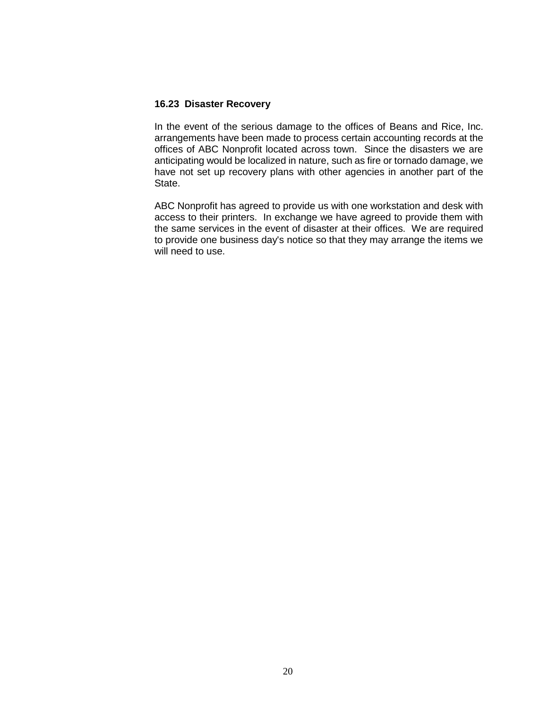#### **16.23 Disaster Recovery**

In the event of the serious damage to the offices of Beans and Rice, Inc. arrangements have been made to process certain accounting records at the offices of ABC Nonprofit located across town. Since the disasters we are anticipating would be localized in nature, such as fire or tornado damage, we have not set up recovery plans with other agencies in another part of the State.

ABC Nonprofit has agreed to provide us with one workstation and desk with access to their printers. In exchange we have agreed to provide them with the same services in the event of disaster at their offices. We are required to provide one business day's notice so that they may arrange the items we will need to use.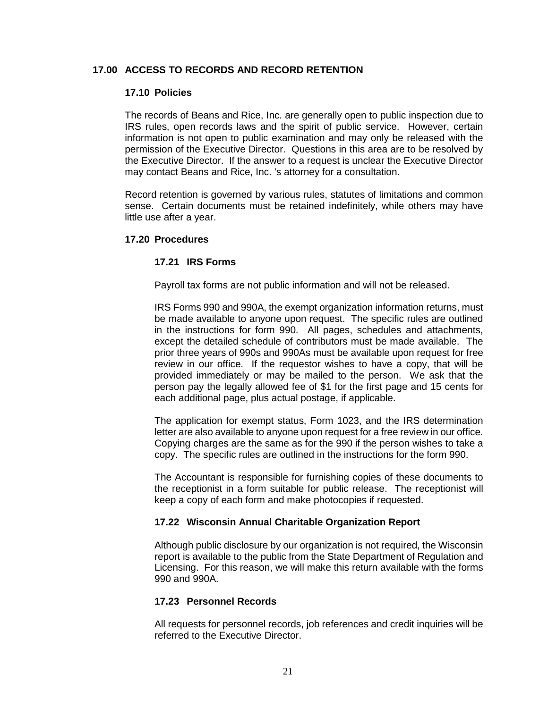# **17.00 ACCESS TO RECORDS AND RECORD RETENTION**

#### **17.10 Policies**

The records of Beans and Rice, Inc. are generally open to public inspection due to IRS rules, open records laws and the spirit of public service. However, certain information is not open to public examination and may only be released with the permission of the Executive Director. Questions in this area are to be resolved by the Executive Director. If the answer to a request is unclear the Executive Director may contact Beans and Rice, Inc. 's attorney for a consultation.

Record retention is governed by various rules, statutes of limitations and common sense. Certain documents must be retained indefinitely, while others may have little use after a year.

#### **17.20 Procedures**

#### **17.21 IRS Forms**

Payroll tax forms are not public information and will not be released.

IRS Forms 990 and 990A, the exempt organization information returns, must be made available to anyone upon request. The specific rules are outlined in the instructions for form 990. All pages, schedules and attachments, except the detailed schedule of contributors must be made available. The prior three years of 990s and 990As must be available upon request for free review in our office. If the requestor wishes to have a copy, that will be provided immediately or may be mailed to the person. We ask that the person pay the legally allowed fee of \$1 for the first page and 15 cents for each additional page, plus actual postage, if applicable.

The application for exempt status, Form 1023, and the IRS determination letter are also available to anyone upon request for a free review in our office. Copying charges are the same as for the 990 if the person wishes to take a copy. The specific rules are outlined in the instructions for the form 990.

The Accountant is responsible for furnishing copies of these documents to the receptionist in a form suitable for public release. The receptionist will keep a copy of each form and make photocopies if requested.

#### **17.22 Wisconsin Annual Charitable Organization Report**

Although public disclosure by our organization is not required, the Wisconsin report is available to the public from the State Department of Regulation and Licensing. For this reason, we will make this return available with the forms 990 and 990A.

#### **17.23 Personnel Records**

All requests for personnel records, job references and credit inquiries will be referred to the Executive Director.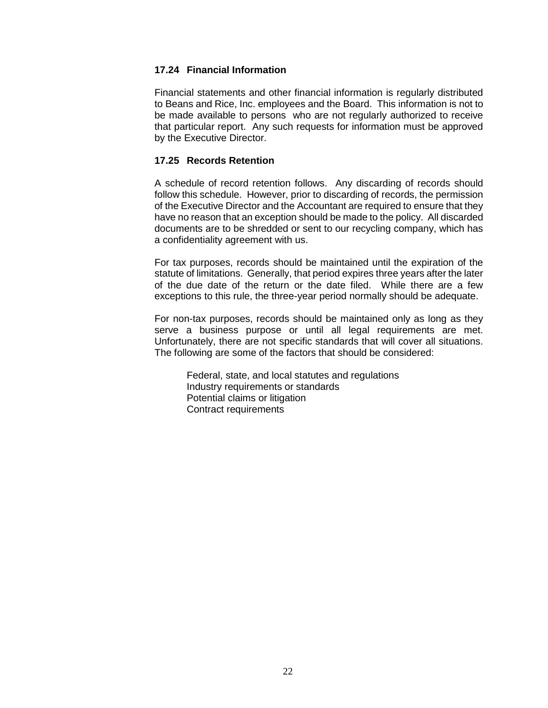# **17.24 Financial Information**

Financial statements and other financial information is regularly distributed to Beans and Rice, Inc. employees and the Board. This information is not to be made available to persons who are not regularly authorized to receive that particular report. Any such requests for information must be approved by the Executive Director.

# **17.25 Records Retention**

A schedule of record retention follows. Any discarding of records should follow this schedule. However, prior to discarding of records, the permission of the Executive Director and the Accountant are required to ensure that they have no reason that an exception should be made to the policy. All discarded documents are to be shredded or sent to our recycling company, which has a confidentiality agreement with us.

For tax purposes, records should be maintained until the expiration of the statute of limitations. Generally, that period expires three years after the later of the due date of the return or the date filed. While there are a few exceptions to this rule, the three-year period normally should be adequate.

For non-tax purposes, records should be maintained only as long as they serve a business purpose or until all legal requirements are met. Unfortunately, there are not specific standards that will cover all situations. The following are some of the factors that should be considered:

Federal, state, and local statutes and regulations Industry requirements or standards Potential claims or litigation Contract requirements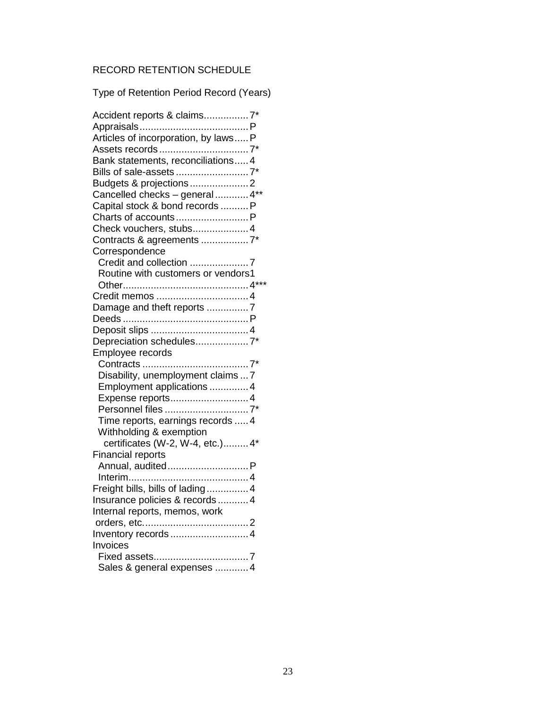# RECORD RETENTION SCHEDULE

Type of Retention Period Record (Years)

| Accident reports & claims 7*       |
|------------------------------------|
|                                    |
|                                    |
|                                    |
| Bank statements, reconciliations 4 |
|                                    |
|                                    |
| Cancelled checks - general  4**    |
| Capital stock & bond records  P    |
|                                    |
| Check vouchers, stubs 4            |
|                                    |
| Correspondence                     |
|                                    |
| Routine with customers or vendors1 |
|                                    |
|                                    |
| Damage and theft reports 7         |
|                                    |
|                                    |
| Depreciation schedules7*           |
| Employee records                   |
|                                    |
| Disability, unemployment claims  7 |
| Employment applications  4         |
| Expense reports 4                  |
|                                    |
| Time reports, earnings records  4  |
| Withholding & exemption            |
| certificates (W-2, W-4, etc.) 4*   |
| <b>Financial reports</b>           |
| Annual, audited P                  |
|                                    |
| Freight bills, bills of lading 4   |
| Insurance policies & records  4    |
| Internal reports, memos, work      |
|                                    |
|                                    |
| Inventory records  4               |
| Invoices                           |
|                                    |
| Sales & general expenses  4        |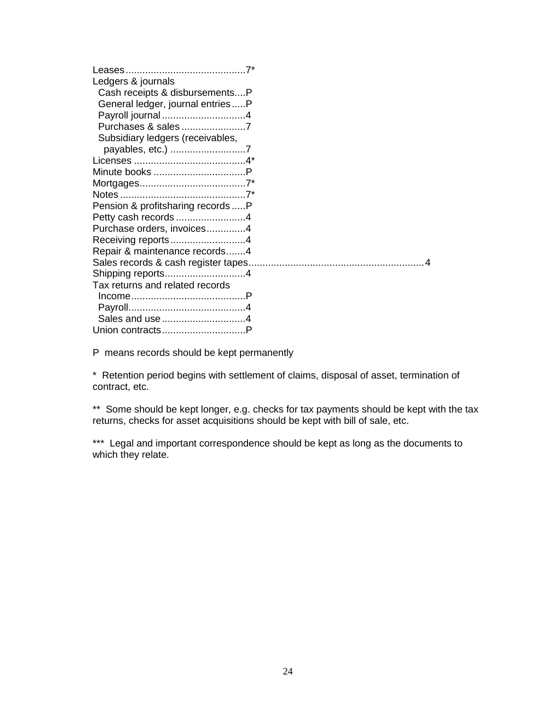| Ledgers & journals                 |  |
|------------------------------------|--|
| Cash receipts & disbursementsP     |  |
| General ledger, journal entriesP   |  |
|                                    |  |
| Purchases & sales7                 |  |
| Subsidiary ledgers (receivables,   |  |
| payables, etc.) 7                  |  |
|                                    |  |
|                                    |  |
|                                    |  |
|                                    |  |
| Pension & profitsharing records  P |  |
| Petty cash records 4               |  |
| Purchase orders, invoices4         |  |
| Receiving reports4                 |  |
| Repair & maintenance records4      |  |
|                                    |  |
|                                    |  |
| Tax returns and related records    |  |
|                                    |  |
|                                    |  |
|                                    |  |
|                                    |  |

P means records should be kept permanently

\* Retention period begins with settlement of claims, disposal of asset, termination of contract, etc.

\*\* Some should be kept longer, e.g. checks for tax payments should be kept with the tax returns, checks for asset acquisitions should be kept with bill of sale, etc.

\*\*\* Legal and important correspondence should be kept as long as the documents to which they relate.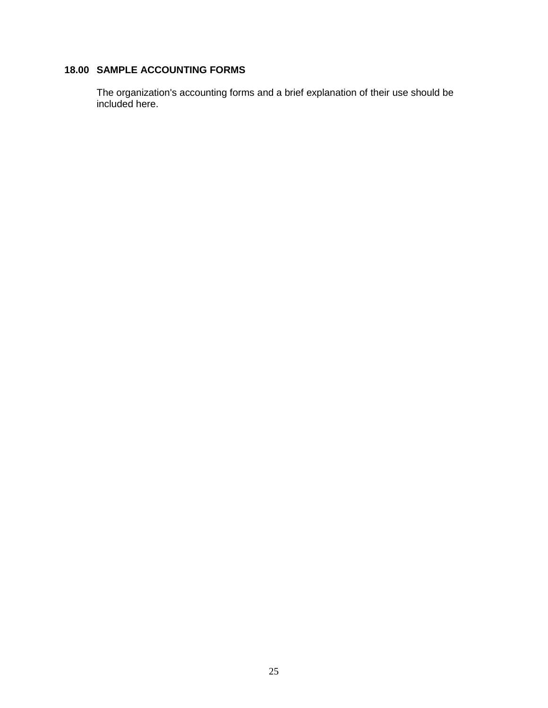# **18.00 SAMPLE ACCOUNTING FORMS**

The organization's accounting forms and a brief explanation of their use should be included here.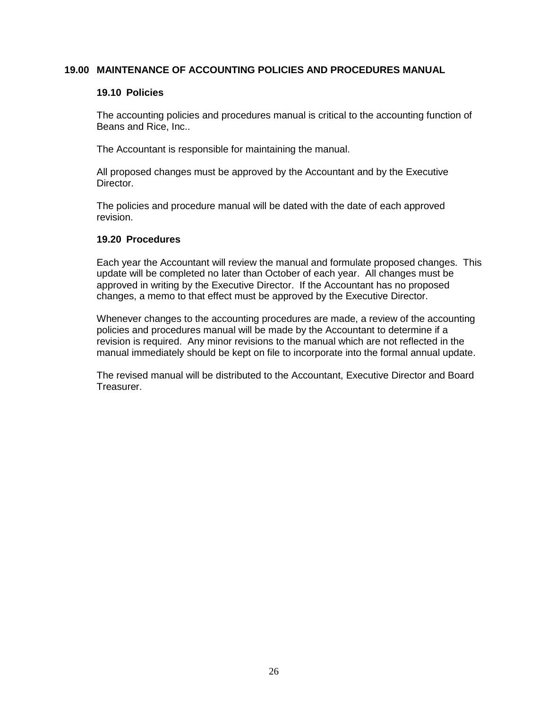### **19.00 MAINTENANCE OF ACCOUNTING POLICIES AND PROCEDURES MANUAL**

#### **19.10 Policies**

The accounting policies and procedures manual is critical to the accounting function of Beans and Rice, Inc..

The Accountant is responsible for maintaining the manual.

All proposed changes must be approved by the Accountant and by the Executive Director.

The policies and procedure manual will be dated with the date of each approved revision.

#### **19.20 Procedures**

Each year the Accountant will review the manual and formulate proposed changes. This update will be completed no later than October of each year. All changes must be approved in writing by the Executive Director. If the Accountant has no proposed changes, a memo to that effect must be approved by the Executive Director.

Whenever changes to the accounting procedures are made, a review of the accounting policies and procedures manual will be made by the Accountant to determine if a revision is required. Any minor revisions to the manual which are not reflected in the manual immediately should be kept on file to incorporate into the formal annual update.

The revised manual will be distributed to the Accountant, Executive Director and Board Treasurer.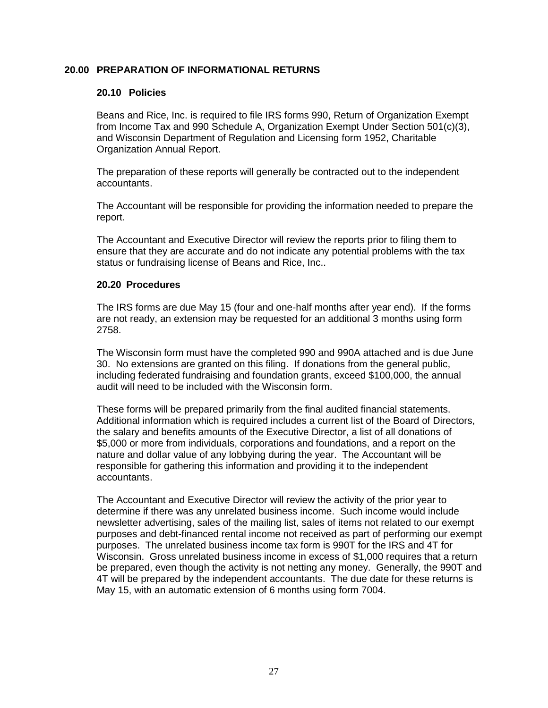## **20.00 PREPARATION OF INFORMATIONAL RETURNS**

#### **20.10 Policies**

Beans and Rice, Inc. is required to file IRS forms 990, Return of Organization Exempt from Income Tax and 990 Schedule A, Organization Exempt Under Section 501(c)(3), and Wisconsin Department of Regulation and Licensing form 1952, Charitable Organization Annual Report.

The preparation of these reports will generally be contracted out to the independent accountants.

The Accountant will be responsible for providing the information needed to prepare the report.

The Accountant and Executive Director will review the reports prior to filing them to ensure that they are accurate and do not indicate any potential problems with the tax status or fundraising license of Beans and Rice, Inc..

#### **20.20 Procedures**

The IRS forms are due May 15 (four and one-half months after year end). If the forms are not ready, an extension may be requested for an additional 3 months using form 2758.

The Wisconsin form must have the completed 990 and 990A attached and is due June 30. No extensions are granted on this filing. If donations from the general public, including federated fundraising and foundation grants, exceed \$100,000, the annual audit will need to be included with the Wisconsin form.

These forms will be prepared primarily from the final audited financial statements. Additional information which is required includes a current list of the Board of Directors, the salary and benefits amounts of the Executive Director, a list of all donations of \$5,000 or more from individuals, corporations and foundations, and a report on the nature and dollar value of any lobbying during the year. The Accountant will be responsible for gathering this information and providing it to the independent accountants.

The Accountant and Executive Director will review the activity of the prior year to determine if there was any unrelated business income. Such income would include newsletter advertising, sales of the mailing list, sales of items not related to our exempt purposes and debt-financed rental income not received as part of performing our exempt purposes. The unrelated business income tax form is 990T for the IRS and 4T for Wisconsin. Gross unrelated business income in excess of \$1,000 requires that a return be prepared, even though the activity is not netting any money. Generally, the 990T and 4T will be prepared by the independent accountants. The due date for these returns is May 15, with an automatic extension of 6 months using form 7004.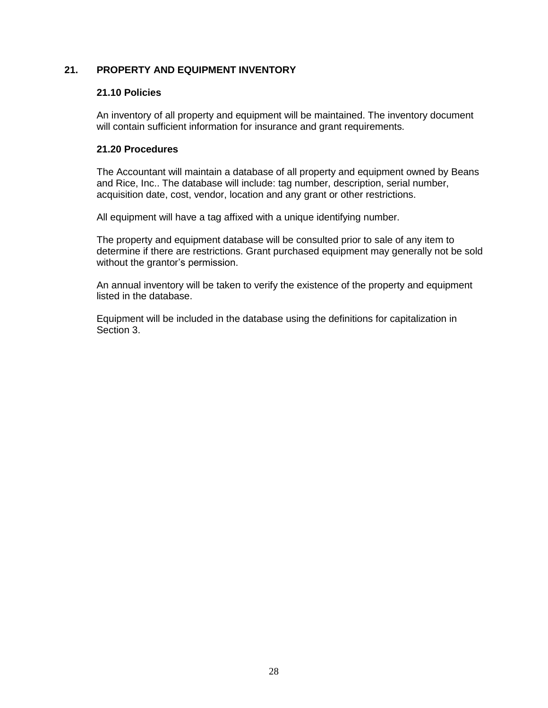# **21. PROPERTY AND EQUIPMENT INVENTORY**

# **21.10 Policies**

An inventory of all property and equipment will be maintained. The inventory document will contain sufficient information for insurance and grant requirements.

# **21.20 Procedures**

The Accountant will maintain a database of all property and equipment owned by Beans and Rice, Inc.. The database will include: tag number, description, serial number, acquisition date, cost, vendor, location and any grant or other restrictions.

All equipment will have a tag affixed with a unique identifying number.

The property and equipment database will be consulted prior to sale of any item to determine if there are restrictions. Grant purchased equipment may generally not be sold without the grantor's permission.

An annual inventory will be taken to verify the existence of the property and equipment listed in the database.

Equipment will be included in the database using the definitions for capitalization in Section 3.